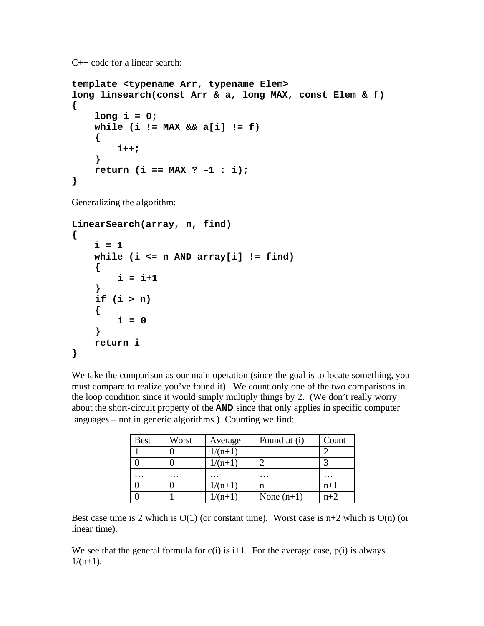C++ code for a linear search:

```
template <typename Arr, typename Elem>
long linsearch(const Arr & a, long MAX, const Elem & f)
{
     long i = 0;
     while (i != MAX && a[i] != f)
     {
         i++;
     }
     return (i == MAX ? –1 : i);
}
```
Generalizing the algorithm:

```
LinearSearch(array, n, find)
{
    i = 1 while (i <= n AND array[i] != find)
     {
          i = i+1
     }
     if (i > n)
     {
         i = 0 }
     return i
}
```
We take the comparison as our main operation (since the goal is to locate something, you must compare to realize you've found it). We count only one of the two comparisons in the loop condition since it would simply multiply things by 2. (We don't really worry about the short-circuit property of the **AND** since that only applies in specific computer languages – not in generic algorithms.) Counting we find:

| <b>Best</b> | Worst   | Average   | Found at (i) | Count    |
|-------------|---------|-----------|--------------|----------|
|             |         | $1/(n+1)$ |              |          |
|             |         | $1/(n+1)$ |              |          |
| $\cdots$    | $\cdot$ | $\cdot$   | $\cdot$      | $\cdots$ |
|             |         | $1/(n+1)$ | n            | $n+1$    |
|             |         | $1/(n+1)$ | None $(n+1)$ | $n+2$    |

Best case time is 2 which is  $O(1)$  (or constant time). Worst case is  $n+2$  which is  $O(n)$  (or linear time).

We see that the general formula for  $c(i)$  is  $i+1$ . For the average case,  $p(i)$  is always  $1/(n+1)$ .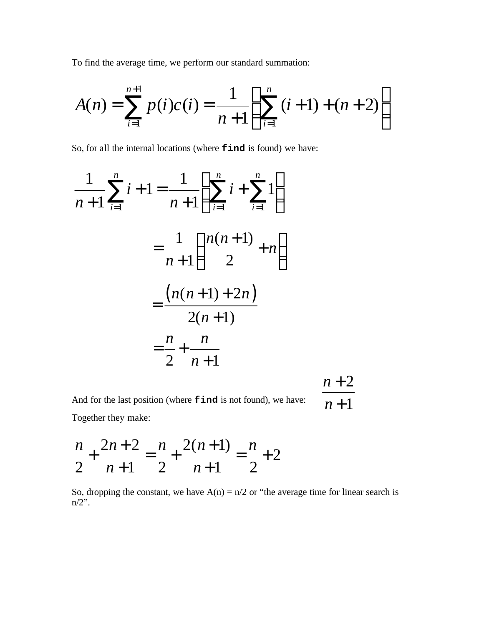To find the average time, we perform our standard summation:

$$
A(n) = \sum_{i=1}^{n+1} p(i)c(i) = \frac{1}{n+1} \left( \sum_{i=1}^{n} (i+1) + (n+2) \right)
$$

So, for all the internal locations (where **find** is found) we have:

$$
\frac{1}{n+1} \sum_{i=1}^{n} i + 1 = \frac{1}{n+1} \left( \sum_{i=1}^{n} i + \sum_{i=1}^{n} 1 \right)
$$

$$
= \frac{1}{n+1} \left( \frac{n(n+1)}{2} + n \right)
$$

$$
= \frac{(n(n+1)+2n)}{2(n+1)}
$$

$$
= \frac{n}{2} + \frac{n}{n+1}
$$
 $n+2$ 

And for the last position (where **find** is not found), we have:  $n+1$ Together they make:

$$
\frac{n}{2} + \frac{2n+2}{n+1} = \frac{n}{2} + \frac{2(n+1)}{n+1} = \frac{n}{2} + 2
$$

So, dropping the constant, we have  $A(n) = n/2$  or "the average time for linear search is  $n/2$ ".